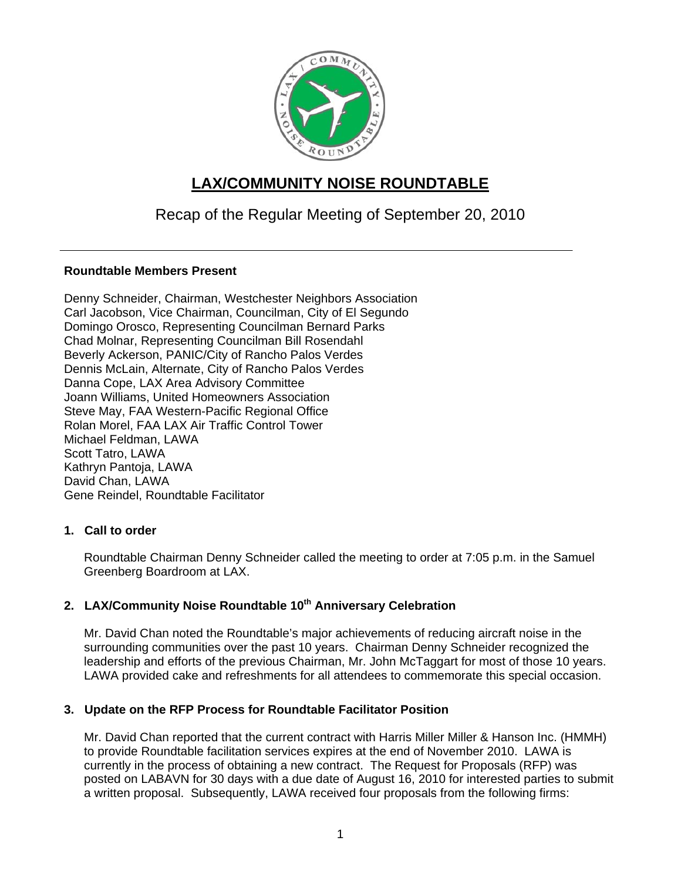

# **LAX/COMMUNITY NOISE ROUNDTABLE**

## Recap of the Regular Meeting of September 20, 2010

## **Roundtable Members Present**

Denny Schneider, Chairman, Westchester Neighbors Association Carl Jacobson, Vice Chairman, Councilman, City of El Segundo Domingo Orosco, Representing Councilman Bernard Parks Chad Molnar, Representing Councilman Bill Rosendahl Beverly Ackerson, PANIC/City of Rancho Palos Verdes Dennis McLain, Alternate, City of Rancho Palos Verdes Danna Cope, LAX Area Advisory Committee Joann Williams, United Homeowners Association Steve May, FAA Western-Pacific Regional Office Rolan Morel, FAA LAX Air Traffic Control Tower Michael Feldman, LAWA Scott Tatro, LAWA Kathryn Pantoja, LAWA David Chan, LAWA Gene Reindel, Roundtable Facilitator

#### **1. Call to order**

Roundtable Chairman Denny Schneider called the meeting to order at 7:05 p.m. in the Samuel Greenberg Boardroom at LAX.

## 2. LAX/Community Noise Roundtable 10<sup>th</sup> Anniversary Celebration

Mr. David Chan noted the Roundtable's major achievements of reducing aircraft noise in the surrounding communities over the past 10 years. Chairman Denny Schneider recognized the leadership and efforts of the previous Chairman, Mr. John McTaggart for most of those 10 years. LAWA provided cake and refreshments for all attendees to commemorate this special occasion.

## **3. Update on the RFP Process for Roundtable Facilitator Position**

Mr. David Chan reported that the current contract with Harris Miller Miller & Hanson Inc. (HMMH) to provide Roundtable facilitation services expires at the end of November 2010. LAWA is currently in the process of obtaining a new contract. The Request for Proposals (RFP) was posted on LABAVN for 30 days with a due date of August 16, 2010 for interested parties to submit a written proposal. Subsequently, LAWA received four proposals from the following firms: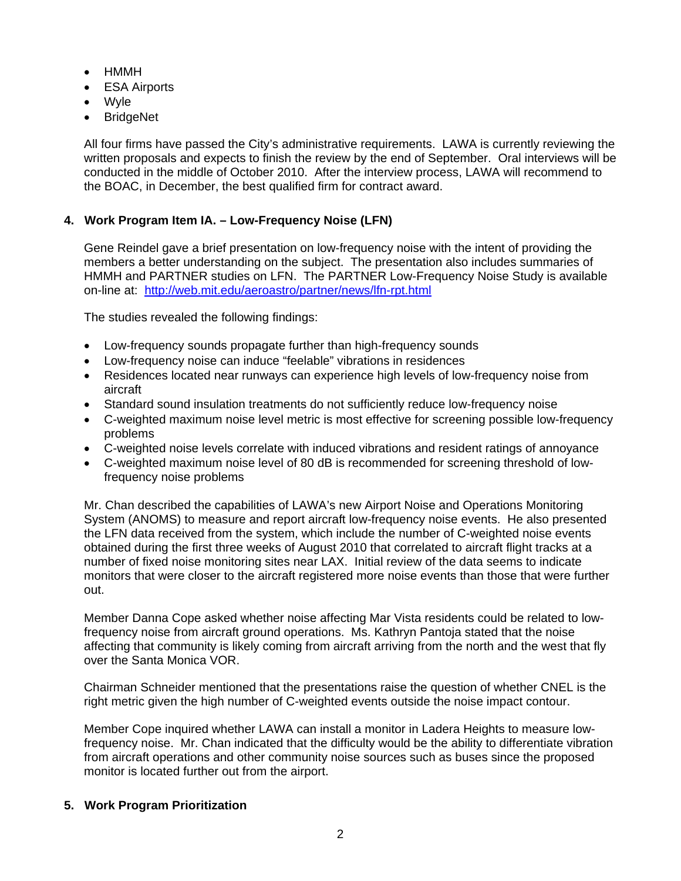- HMMH
- ESA Airports
- Wyle
- BridgeNet

All four firms have passed the City's administrative requirements. LAWA is currently reviewing the written proposals and expects to finish the review by the end of September. Oral interviews will be conducted in the middle of October 2010. After the interview process, LAWA will recommend to the BOAC, in December, the best qualified firm for contract award.

## **4. Work Program Item IA. – Low-Frequency Noise (LFN)**

Gene Reindel gave a brief presentation on low-frequency noise with the intent of providing the members a better understanding on the subject. The presentation also includes summaries of HMMH and PARTNER studies on LFN. The PARTNER Low-Frequency Noise Study is available on-line at: <http://web.mit.edu/aeroastro/partner/news/lfn-rpt.html>

The studies revealed the following findings:

- Low-frequency sounds propagate further than high-frequency sounds
- Low-frequency noise can induce "feelable" vibrations in residences
- Residences located near runways can experience high levels of low-frequency noise from aircraft
- Standard sound insulation treatments do not sufficiently reduce low-frequency noise
- C-weighted maximum noise level metric is most effective for screening possible low-frequency problems
- C-weighted noise levels correlate with induced vibrations and resident ratings of annoyance
- C-weighted maximum noise level of 80 dB is recommended for screening threshold of lowfrequency noise problems

Mr. Chan described the capabilities of LAWA's new Airport Noise and Operations Monitoring System (ANOMS) to measure and report aircraft low-frequency noise events. He also presented the LFN data received from the system, which include the number of C-weighted noise events obtained during the first three weeks of August 2010 that correlated to aircraft flight tracks at a number of fixed noise monitoring sites near LAX. Initial review of the data seems to indicate monitors that were closer to the aircraft registered more noise events than those that were further out.

Member Danna Cope asked whether noise affecting Mar Vista residents could be related to lowfrequency noise from aircraft ground operations. Ms. Kathryn Pantoja stated that the noise affecting that community is likely coming from aircraft arriving from the north and the west that fly over the Santa Monica VOR.

Chairman Schneider mentioned that the presentations raise the question of whether CNEL is the right metric given the high number of C-weighted events outside the noise impact contour.

Member Cope inquired whether LAWA can install a monitor in Ladera Heights to measure lowfrequency noise. Mr. Chan indicated that the difficulty would be the ability to differentiate vibration from aircraft operations and other community noise sources such as buses since the proposed monitor is located further out from the airport.

#### **5. Work Program Prioritization**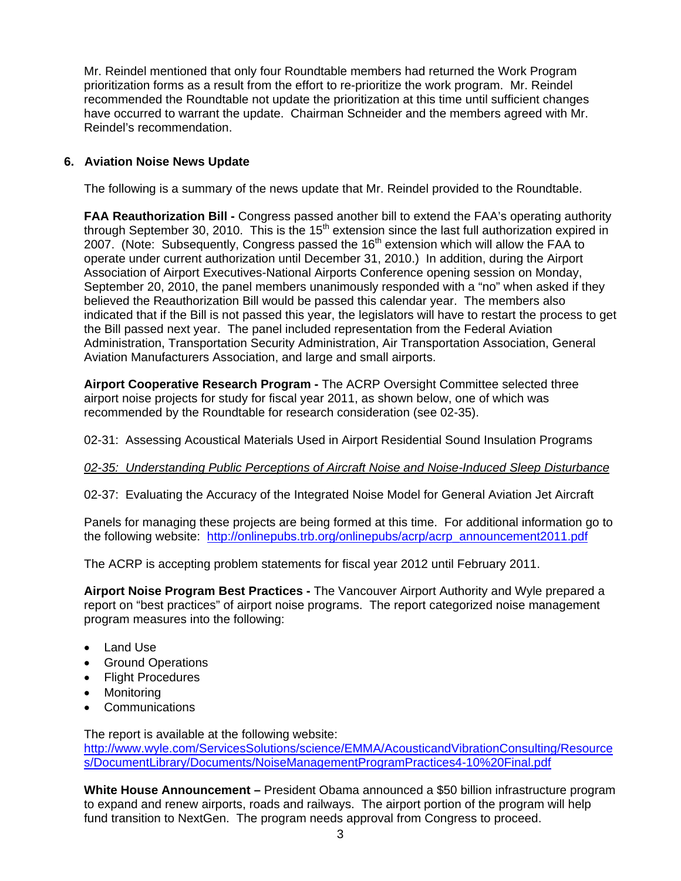Mr. Reindel mentioned that only four Roundtable members had returned the Work Program prioritization forms as a result from the effort to re-prioritize the work program. Mr. Reindel recommended the Roundtable not update the prioritization at this time until sufficient changes have occurred to warrant the update. Chairman Schneider and the members agreed with Mr. Reindel's recommendation.

## **6. Aviation Noise News Update**

The following is a summary of the news update that Mr. Reindel provided to the Roundtable.

**FAA Reauthorization Bill -** Congress passed another bill to extend the FAA's operating authority through September 30, 2010. This is the  $15<sup>th</sup>$  extension since the last full authorization expired in 2007. (Note: Subsequently, Congress passed the  $16<sup>th</sup>$  extension which will allow the FAA to operate under current authorization until December 31, 2010.) In addition, during the Airport Association of Airport Executives-National Airports Conference opening session on Monday, September 20, 2010, the panel members unanimously responded with a "no" when asked if they believed the Reauthorization Bill would be passed this calendar year. The members also indicated that if the Bill is not passed this year, the legislators will have to restart the process to get the Bill passed next year. The panel included representation from the Federal Aviation Administration, Transportation Security Administration, Air Transportation Association, General Aviation Manufacturers Association, and large and small airports.

**Airport Cooperative Research Program -** The ACRP Oversight Committee selected three airport noise projects for study for fiscal year 2011, as shown below, one of which was recommended by the Roundtable for research consideration (see 02-35).

02-31: Assessing Acoustical Materials Used in Airport Residential Sound Insulation Programs

#### *02-35: Understanding Public Perceptions of Aircraft Noise and Noise-Induced Sleep Disturbance*

02-37: Evaluating the Accuracy of the Integrated Noise Model for General Aviation Jet Aircraft

Panels for managing these projects are being formed at this time. For additional information go to the following website: [http://onlinepubs.trb.org/onlinepubs/acrp/acrp\\_announcement2011.pdf](http://onlinepubs.trb.org/onlinepubs/acrp/acrp_announcement2011.pdf) 

The ACRP is accepting problem statements for fiscal year 2012 until February 2011.

**Airport Noise Program Best Practices -** The Vancouver Airport Authority and Wyle prepared a report on "best practices" of airport noise programs. The report categorized noise management program measures into the following:

- Land Use
- Ground Operations
- Flight Procedures
- Monitoring
- Communications

The report is available at the following website: [http://www.wyle.com/ServicesSolutions/science/EMMA/AcousticandVibrationConsulting/Resource](http://www.wyle.com/ServicesSolutions/science/EMMA/AcousticandVibrationConsulting/Resources/DocumentLibrary/Documents/NoiseManagementProgramPractices4-10%20Final.pdf) [s/DocumentLibrary/Documents/NoiseManagementProgramPractices4-10%20Final.pdf](http://www.wyle.com/ServicesSolutions/science/EMMA/AcousticandVibrationConsulting/Resources/DocumentLibrary/Documents/NoiseManagementProgramPractices4-10%20Final.pdf) 

**White House Announcement –** President Obama announced a \$50 billion infrastructure program to expand and renew airports, roads and railways. The airport portion of the program will help fund transition to NextGen. The program needs approval from Congress to proceed.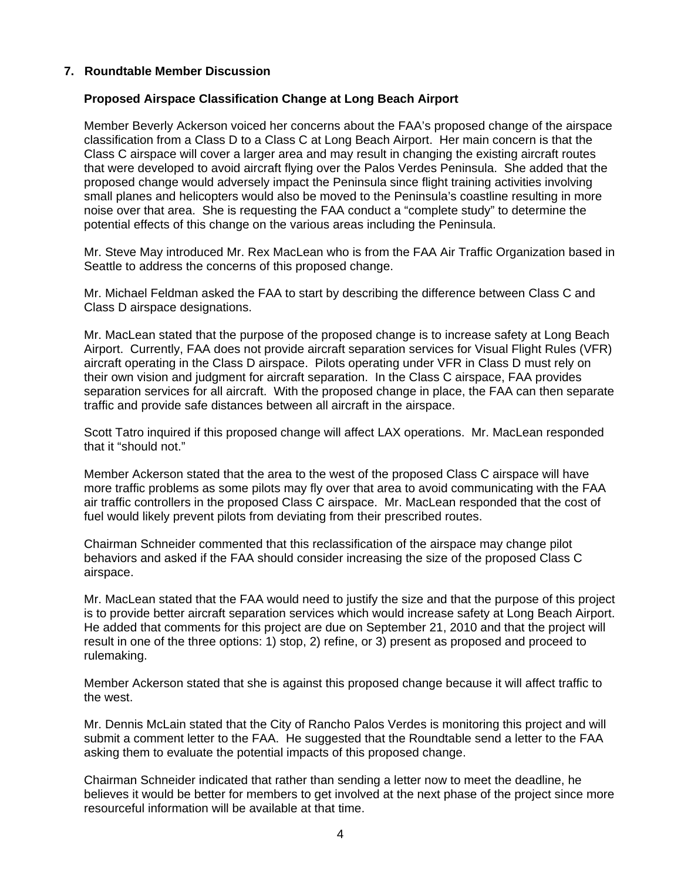#### **7. Roundtable Member Discussion**

#### **Proposed Airspace Classification Change at Long Beach Airport**

Member Beverly Ackerson voiced her concerns about the FAA's proposed change of the airspace classification from a Class D to a Class C at Long Beach Airport. Her main concern is that the Class C airspace will cover a larger area and may result in changing the existing aircraft routes that were developed to avoid aircraft flying over the Palos Verdes Peninsula. She added that the proposed change would adversely impact the Peninsula since flight training activities involving small planes and helicopters would also be moved to the Peninsula's coastline resulting in more noise over that area. She is requesting the FAA conduct a "complete study" to determine the potential effects of this change on the various areas including the Peninsula.

Mr. Steve May introduced Mr. Rex MacLean who is from the FAA Air Traffic Organization based in Seattle to address the concerns of this proposed change.

Mr. Michael Feldman asked the FAA to start by describing the difference between Class C and Class D airspace designations.

Mr. MacLean stated that the purpose of the proposed change is to increase safety at Long Beach Airport. Currently, FAA does not provide aircraft separation services for Visual Flight Rules (VFR) aircraft operating in the Class D airspace. Pilots operating under VFR in Class D must rely on their own vision and judgment for aircraft separation. In the Class C airspace, FAA provides separation services for all aircraft. With the proposed change in place, the FAA can then separate traffic and provide safe distances between all aircraft in the airspace.

Scott Tatro inquired if this proposed change will affect LAX operations. Mr. MacLean responded that it "should not."

Member Ackerson stated that the area to the west of the proposed Class C airspace will have more traffic problems as some pilots may fly over that area to avoid communicating with the FAA air traffic controllers in the proposed Class C airspace. Mr. MacLean responded that the cost of fuel would likely prevent pilots from deviating from their prescribed routes.

Chairman Schneider commented that this reclassification of the airspace may change pilot behaviors and asked if the FAA should consider increasing the size of the proposed Class C airspace.

Mr. MacLean stated that the FAA would need to justify the size and that the purpose of this project is to provide better aircraft separation services which would increase safety at Long Beach Airport. He added that comments for this project are due on September 21, 2010 and that the project will result in one of the three options: 1) stop, 2) refine, or 3) present as proposed and proceed to rulemaking.

Member Ackerson stated that she is against this proposed change because it will affect traffic to the west.

Mr. Dennis McLain stated that the City of Rancho Palos Verdes is monitoring this project and will submit a comment letter to the FAA. He suggested that the Roundtable send a letter to the FAA asking them to evaluate the potential impacts of this proposed change.

Chairman Schneider indicated that rather than sending a letter now to meet the deadline, he believes it would be better for members to get involved at the next phase of the project since more resourceful information will be available at that time.